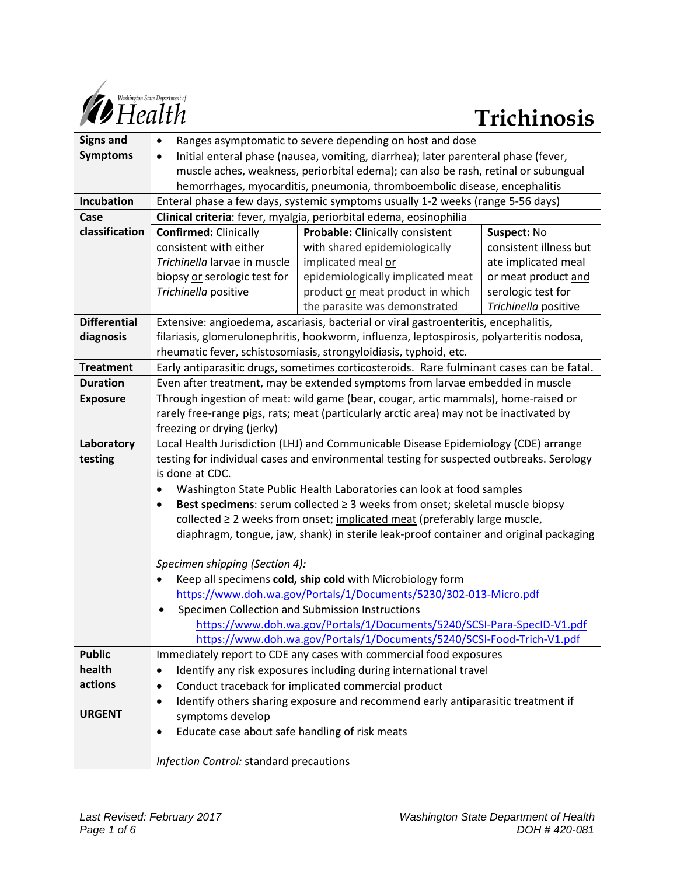

| <b>Signs and</b>    | Ranges asymptomatic to severe depending on host and dose<br>$\bullet$                                         |                                   |                        |
|---------------------|---------------------------------------------------------------------------------------------------------------|-----------------------------------|------------------------|
| <b>Symptoms</b>     | Initial enteral phase (nausea, vomiting, diarrhea); later parenteral phase (fever,<br>$\bullet$               |                                   |                        |
|                     | muscle aches, weakness, periorbital edema); can also be rash, retinal or subungual                            |                                   |                        |
|                     | hemorrhages, myocarditis, pneumonia, thromboembolic disease, encephalitis                                     |                                   |                        |
| Incubation          | Enteral phase a few days, systemic symptoms usually 1-2 weeks (range 5-56 days)                               |                                   |                        |
| Case                | Clinical criteria: fever, myalgia, periorbital edema, eosinophilia                                            |                                   |                        |
| classification      | <b>Confirmed: Clinically</b>                                                                                  | Probable: Clinically consistent   | Suspect: No            |
|                     | consistent with either                                                                                        | with shared epidemiologically     | consistent illness but |
|                     | Trichinella larvae in muscle                                                                                  | implicated meal or                | ate implicated meal    |
|                     | biopsy or serologic test for                                                                                  | epidemiologically implicated meat | or meat product and    |
|                     | Trichinella positive                                                                                          | product or meat product in which  | serologic test for     |
|                     |                                                                                                               | the parasite was demonstrated     | Trichinella positive   |
| <b>Differential</b> | Extensive: angioedema, ascariasis, bacterial or viral gastroenteritis, encephalitis,                          |                                   |                        |
| diagnosis           | filariasis, glomerulonephritis, hookworm, influenza, leptospirosis, polyarteritis nodosa,                     |                                   |                        |
|                     | rheumatic fever, schistosomiasis, strongyloidiasis, typhoid, etc.                                             |                                   |                        |
| <b>Treatment</b>    | Early antiparasitic drugs, sometimes corticosteroids. Rare fulminant cases can be fatal.                      |                                   |                        |
| <b>Duration</b>     | Even after treatment, may be extended symptoms from larvae embedded in muscle                                 |                                   |                        |
| <b>Exposure</b>     | Through ingestion of meat: wild game (bear, cougar, artic mammals), home-raised or                            |                                   |                        |
|                     | rarely free-range pigs, rats; meat (particularly arctic area) may not be inactivated by                       |                                   |                        |
|                     | freezing or drying (jerky)                                                                                    |                                   |                        |
| Laboratory          | Local Health Jurisdiction (LHJ) and Communicable Disease Epidemiology (CDE) arrange                           |                                   |                        |
| testing             | testing for individual cases and environmental testing for suspected outbreaks. Serology                      |                                   |                        |
|                     | is done at CDC.                                                                                               |                                   |                        |
|                     | Washington State Public Health Laboratories can look at food samples<br>$\bullet$                             |                                   |                        |
|                     | Best specimens: $\frac{serum}{core}$ collected $\geq$ 3 weeks from onset; skeletal muscle biopsy<br>$\bullet$ |                                   |                        |
|                     | collected ≥ 2 weeks from onset; implicated meat (preferably large muscle,                                     |                                   |                        |
|                     | diaphragm, tongue, jaw, shank) in sterile leak-proof container and original packaging                         |                                   |                        |
|                     |                                                                                                               |                                   |                        |
|                     | Specimen shipping (Section 4):                                                                                |                                   |                        |
|                     | Keep all specimens cold, ship cold with Microbiology form                                                     |                                   |                        |
|                     | https://www.doh.wa.gov/Portals/1/Documents/5230/302-013-Micro.pdf                                             |                                   |                        |
|                     | Specimen Collection and Submission Instructions<br>$\bullet$                                                  |                                   |                        |
|                     | https://www.doh.wa.gov/Portals/1/Documents/5240/SCSI-Para-SpecID-V1.pdf                                       |                                   |                        |
|                     | https://www.doh.wa.gov/Portals/1/Documents/5240/SCSI-Food-Trich-V1.pdf                                        |                                   |                        |
| <b>Public</b>       | Immediately report to CDE any cases with commercial food exposures                                            |                                   |                        |
| health              | Identify any risk exposures including during international travel<br>٠                                        |                                   |                        |
| actions             | Conduct traceback for implicated commercial product<br>$\bullet$                                              |                                   |                        |
|                     | Identify others sharing exposure and recommend early antiparasitic treatment if<br>٠                          |                                   |                        |
| <b>URGENT</b>       | symptoms develop                                                                                              |                                   |                        |
|                     | Educate case about safe handling of risk meats                                                                |                                   |                        |
|                     |                                                                                                               |                                   |                        |
|                     | Infection Control: standard precautions                                                                       |                                   |                        |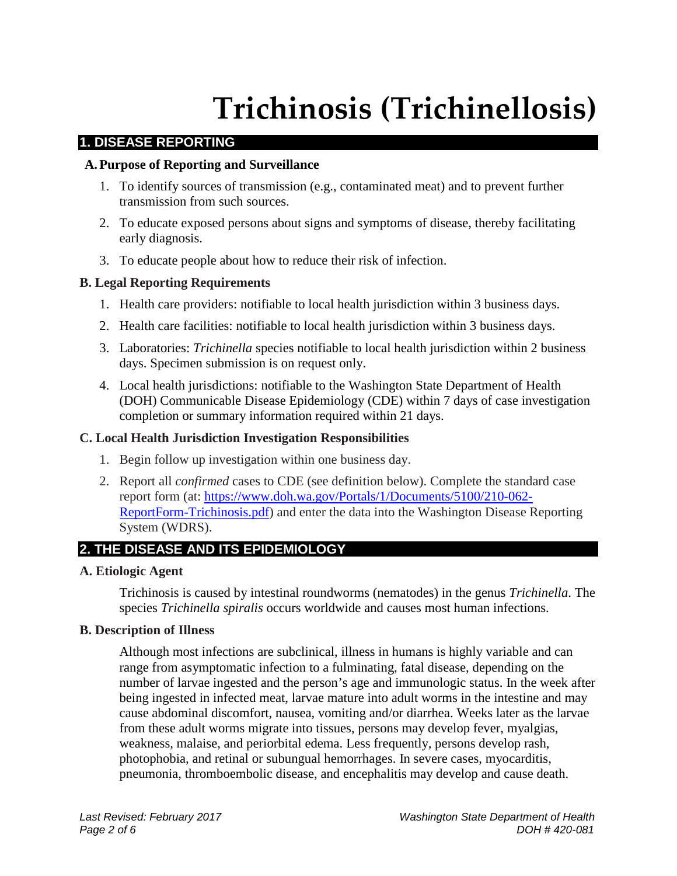# **Trichinosis (Trichinellosis)**

# **1. DISEASE REPORTING**

## **A.Purpose of Reporting and Surveillance**

- 1. To identify sources of transmission (e.g., contaminated meat) and to prevent further transmission from such sources.
- 2. To educate exposed persons about signs and symptoms of disease, thereby facilitating early diagnosis.
- 3. To educate people about how to reduce their risk of infection.

# **B. Legal Reporting Requirements**

- 1. Health care providers: notifiable to local health jurisdiction within 3 business days.
- 2. Health care facilities: notifiable to local health jurisdiction within 3 business days.
- 3. Laboratories: *Trichinella* species notifiable to local health jurisdiction within 2 business days. Specimen submission is on request only.
- 4. Local health jurisdictions: notifiable to the Washington State Department of Health (DOH) Communicable Disease Epidemiology (CDE) within 7 days of case investigation completion or summary information required within 21 days.

## **C. Local Health Jurisdiction Investigation Responsibilities**

- 1. Begin follow up investigation within one business day.
- 2. Report all *confirmed* cases to CDE (see definition below). Complete the standard case report form (at: [https://www.doh.wa.gov/Portals/1/Documents/5100/210-062-](https://www.doh.wa.gov/Portals/1/Documents/5100/210-062-ReportForm-Trichinosis.pdf) [ReportForm-Trichinosis.pdf\)](https://www.doh.wa.gov/Portals/1/Documents/5100/210-062-ReportForm-Trichinosis.pdf) and enter the data into the Washington Disease Reporting System (WDRS).

# **2. THE DISEASE AND ITS EPIDEMIOLOGY**

#### **A. Etiologic Agent**

Trichinosis is caused by intestinal roundworms (nematodes) in the genus *Trichinella*. The species *Trichinella spiralis* occurs worldwide and causes most human infections.

#### **B. Description of Illness**

Although most infections are subclinical, illness in humans is highly variable and can range from asymptomatic infection to a fulminating, fatal disease, depending on the number of larvae ingested and the person's age and immunologic status. In the week after being ingested in infected meat, larvae mature into adult worms in the intestine and may cause abdominal discomfort, nausea, vomiting and/or diarrhea. Weeks later as the larvae from these adult worms migrate into tissues, persons may develop fever, myalgias, weakness, malaise, and periorbital edema. Less frequently, persons develop rash, photophobia, and retinal or subungual hemorrhages. In severe cases, myocarditis, pneumonia, thromboembolic disease, and encephalitis may develop and cause death.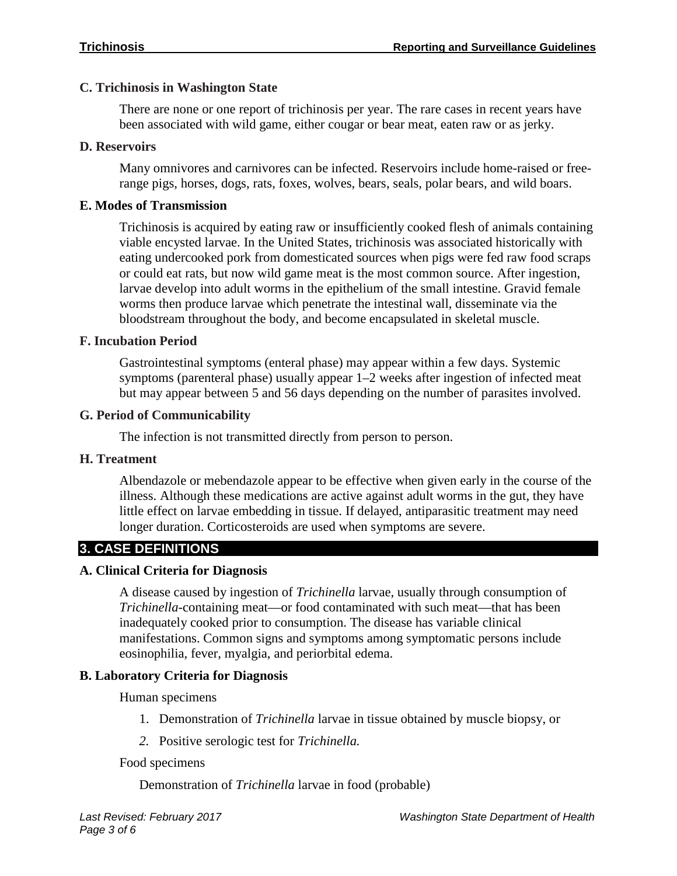# **C. Trichinosis in Washington State**

There are none or one report of trichinosis per year. The rare cases in recent years have been associated with wild game, either cougar or bear meat, eaten raw or as jerky.

# **D. Reservoirs**

Many omnivores and carnivores can be infected. Reservoirs include home-raised or freerange pigs, horses, dogs, rats, foxes, wolves, bears, seals, polar bears, and wild boars.

# **E. Modes of Transmission**

Trichinosis is acquired by eating raw or insufficiently cooked flesh of animals containing viable encysted larvae. In the United States, trichinosis was associated historically with eating undercooked pork from domesticated sources when pigs were fed raw food scraps or could eat rats, but now wild game meat is the most common source. After ingestion, larvae develop into adult worms in the epithelium of the small intestine. Gravid female worms then produce larvae which penetrate the intestinal wall, disseminate via the bloodstream throughout the body, and become encapsulated in skeletal muscle.

# **F. Incubation Period**

Gastrointestinal symptoms (enteral phase) may appear within a few days. Systemic symptoms (parenteral phase) usually appear 1–2 weeks after ingestion of infected meat but may appear between 5 and 56 days depending on the number of parasites involved.

# **G. Period of Communicability**

The infection is not transmitted directly from person to person.

# **H. Treatment**

Albendazole or mebendazole appear to be effective when given early in the course of the illness. Although these medications are active against adult worms in the gut, they have little effect on larvae embedding in tissue. If delayed, antiparasitic treatment may need longer duration. Corticosteroids are used when symptoms are severe.

# **3. CASE DEFINITIONS**

# **A. Clinical Criteria for Diagnosis**

A disease caused by ingestion of *Trichinella* larvae, usually through consumption of *Trichinella*-containing meat—or food contaminated with such meat—that has been inadequately cooked prior to consumption. The disease has variable clinical manifestations. Common signs and symptoms among symptomatic persons include eosinophilia, fever, myalgia, and periorbital edema.

# **B. Laboratory Criteria for Diagnosis**

Human specimens

- 1. Demonstration of *Trichinella* larvae in tissue obtained by muscle biopsy, or
- *2.* Positive serologic test for *Trichinella.*

#### Food specimens

Demonstration of *Trichinella* larvae in food (probable)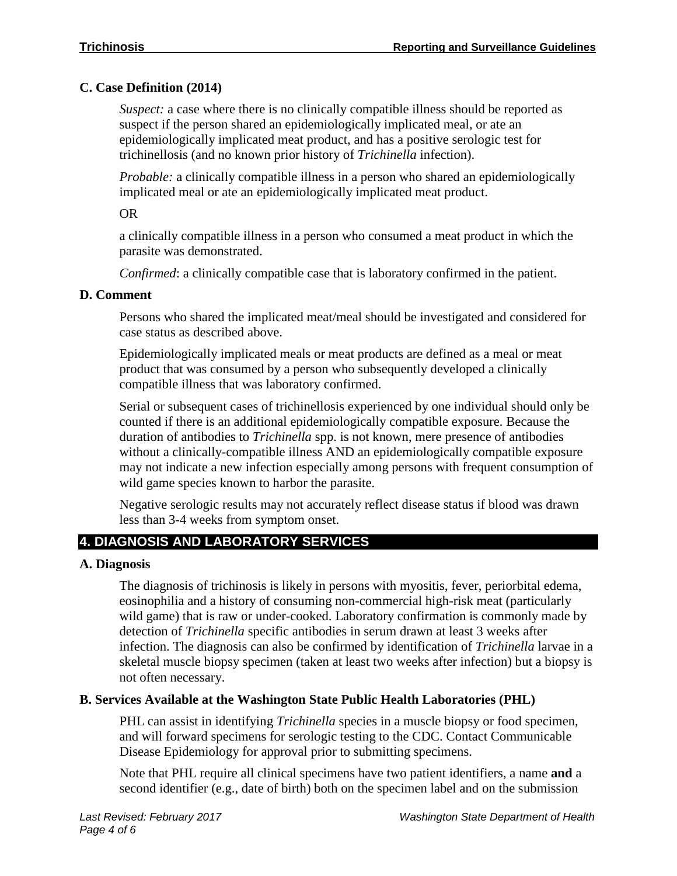# **C. Case Definition (2014)**

*Suspect:* a case where there is no clinically compatible illness should be reported as suspect if the person shared an epidemiologically implicated meal, or ate an epidemiologically implicated meat product, and has a positive serologic test for trichinellosis (and no known prior history of *Trichinella* infection).

*Probable:* a clinically compatible illness in a person who shared an epidemiologically implicated meal or ate an epidemiologically implicated meat product.

OR

a clinically compatible illness in a person who consumed a meat product in which the parasite was demonstrated.

*Confirmed*: a clinically compatible case that is laboratory confirmed in the patient.

# **D. Comment**

Persons who shared the implicated meat/meal should be investigated and considered for case status as described above.

Epidemiologically implicated meals or meat products are defined as a meal or meat product that was consumed by a person who subsequently developed a clinically compatible illness that was laboratory confirmed.

Serial or subsequent cases of trichinellosis experienced by one individual should only be counted if there is an additional epidemiologically compatible exposure. Because the duration of antibodies to *Trichinella* spp. is not known, mere presence of antibodies without a clinically-compatible illness AND an epidemiologically compatible exposure may not indicate a new infection especially among persons with frequent consumption of wild game species known to harbor the parasite.

Negative serologic results may not accurately reflect disease status if blood was drawn less than 3-4 weeks from symptom onset.

# **4. DIAGNOSIS AND LABORATORY SERVICES**

# **A. Diagnosis**

The diagnosis of trichinosis is likely in persons with myositis, fever, periorbital edema, eosinophilia and a history of consuming non-commercial high-risk meat (particularly wild game) that is raw or under-cooked. Laboratory confirmation is commonly made by detection of *Trichinella* specific antibodies in serum drawn at least 3 weeks after infection. The diagnosis can also be confirmed by identification of *Trichinella* larvae in a skeletal muscle biopsy specimen (taken at least two weeks after infection) but a biopsy is not often necessary.

# **B. Services Available at the Washington State Public Health Laboratories (PHL)**

PHL can assist in identifying *Trichinella* species in a muscle biopsy or food specimen, and will forward specimens for serologic testing to the CDC. Contact Communicable Disease Epidemiology for approval prior to submitting specimens.

Note that PHL require all clinical specimens have two patient identifiers, a name **and** a second identifier (e.g., date of birth) both on the specimen label and on the submission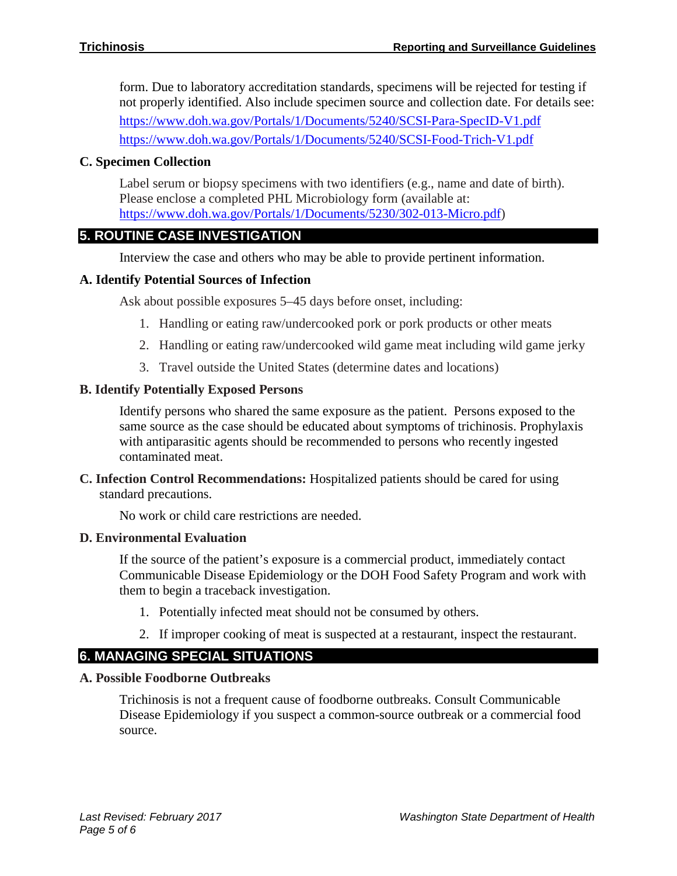form. Due to laboratory accreditation standards, specimens will be rejected for testing if not properly identified. Also include specimen source and collection date. For details see: <https://www.doh.wa.gov/Portals/1/Documents/5240/SCSI-Para-SpecID-V1.pdf> <https://www.doh.wa.gov/Portals/1/Documents/5240/SCSI-Food-Trich-V1.pdf>

# **C. Specimen Collection**

Label serum or biopsy specimens with two identifiers (e.g., name and date of birth). Please enclose a completed PHL Microbiology form (available at: [https://www.doh.wa.gov/Portals/1/Documents/5230/302-013-Micro.pdf\)](https://www.doh.wa.gov/Portals/1/Documents/5230/302-013-Micro.pdf)

# **5. ROUTINE CASE INVESTIGATION**

Interview the case and others who may be able to provide pertinent information.

# **A. Identify Potential Sources of Infection**

Ask about possible exposures 5–45 days before onset, including:

- 1. Handling or eating raw/undercooked pork or pork products or other meats
- 2. Handling or eating raw/undercooked wild game meat including wild game jerky
- 3. Travel outside the United States (determine dates and locations)

# **B. Identify Potentially Exposed Persons**

Identify persons who shared the same exposure as the patient. Persons exposed to the same source as the case should be educated about symptoms of trichinosis. Prophylaxis with antiparasitic agents should be recommended to persons who recently ingested contaminated meat.

**C. Infection Control Recommendations:** Hospitalized patients should be cared for using standard precautions.

No work or child care restrictions are needed.

#### **D. Environmental Evaluation**

If the source of the patient's exposure is a commercial product, immediately contact Communicable Disease Epidemiology or the DOH Food Safety Program and work with them to begin a traceback investigation.

- 1. Potentially infected meat should not be consumed by others.
- 2. If improper cooking of meat is suspected at a restaurant, inspect the restaurant.

# **6. MANAGING SPECIAL SITUATIONS**

#### **A. Possible Foodborne Outbreaks**

Trichinosis is not a frequent cause of foodborne outbreaks. Consult Communicable Disease Epidemiology if you suspect a common-source outbreak or a commercial food source.